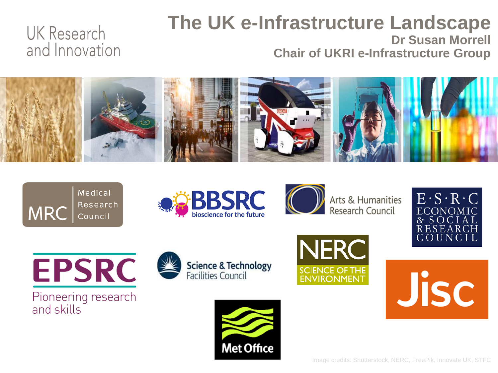#### **The UK e-Infrastructure Landscape Dr Susan Morrell Chair of UKRI e-Infrastructure Group**



**Met Office** 









**EPSRC** 

Pioneering research and skills





**Jisc** 

Image credits: Shutterstock, NERC, FreePik, Innovate UK, STFC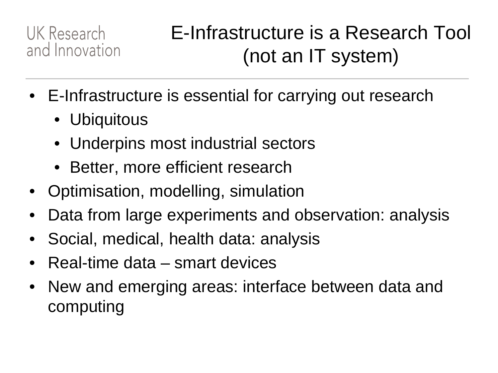## E-Infrastructure is a Research Tool (not an IT system)

- E-Infrastructure is essential for carrying out research
	- Ubiquitous
	- Underpins most industrial sectors
	- Better, more efficient research
- Optimisation, modelling, simulation
- Data from large experiments and observation: analysis
- Social, medical, health data: analysis
- Real-time data smart devices
- New and emerging areas: interface between data and computing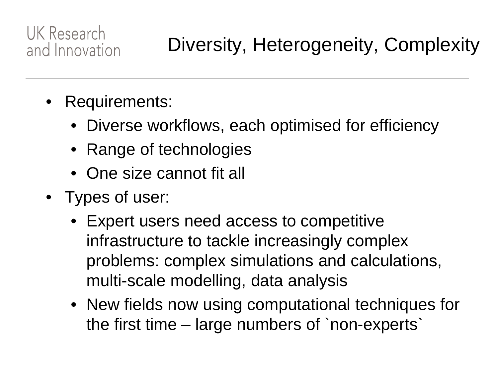- Requirements:
	- Diverse workflows, each optimised for efficiency
	- Range of technologies
	- One size cannot fit all
- Types of user:
	- Expert users need access to competitive infrastructure to tackle increasingly complex problems: complex simulations and calculations, multi-scale modelling, data analysis
	- New fields now using computational techniques for the first time – large numbers of `non-experts`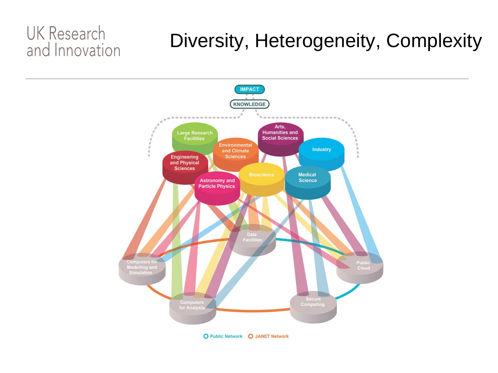### Diversity, Heterogeneity, Complexity

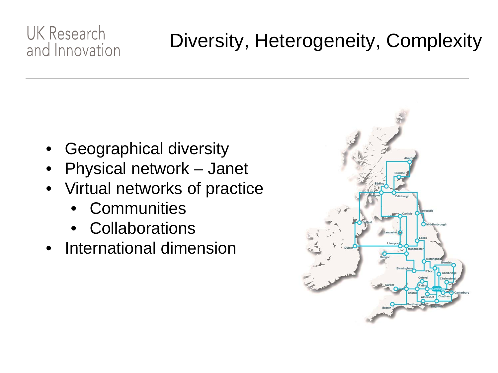### Diversity, Heterogeneity, Complexity

- Geographical diversity
- Physical network Janet
- Virtual networks of practice
	- **Communities**
	- **Collaborations**
- International dimension

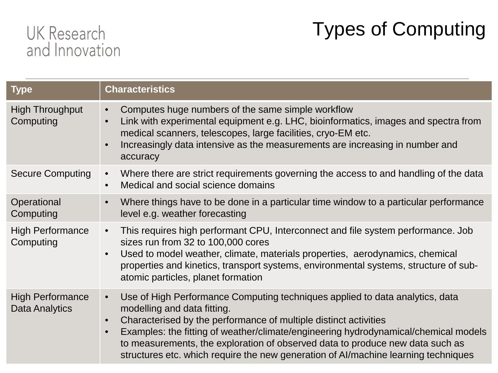## Types of Computing

| <b>Type</b>                               | <b>Characteristics</b>                                                                                                                                                                                                                                                                                                                                                                                                                                                               |
|-------------------------------------------|--------------------------------------------------------------------------------------------------------------------------------------------------------------------------------------------------------------------------------------------------------------------------------------------------------------------------------------------------------------------------------------------------------------------------------------------------------------------------------------|
| <b>High Throughput</b><br>Computing       | Computes huge numbers of the same simple workflow<br>$\bullet$<br>Link with experimental equipment e.g. LHC, bioinformatics, images and spectra from<br>$\bullet$<br>medical scanners, telescopes, large facilities, cryo-EM etc.<br>Increasingly data intensive as the measurements are increasing in number and<br>$\bullet$<br>accuracy                                                                                                                                           |
| <b>Secure Computing</b>                   | Where there are strict requirements governing the access to and handling of the data<br>$\bullet$<br>Medical and social science domains<br>$\bullet$                                                                                                                                                                                                                                                                                                                                 |
| Operational<br>Computing                  | Where things have to be done in a particular time window to a particular performance<br>$\bullet$<br>level e.g. weather forecasting                                                                                                                                                                                                                                                                                                                                                  |
| <b>High Performance</b><br>Computing      | This requires high performant CPU, Interconnect and file system performance. Job<br>$\bullet$<br>sizes run from 32 to 100,000 cores<br>Used to model weather, climate, materials properties, aerodynamics, chemical<br>$\bullet$<br>properties and kinetics, transport systems, environmental systems, structure of sub-<br>atomic particles, planet formation                                                                                                                       |
| <b>High Performance</b><br>Data Analytics | Use of High Performance Computing techniques applied to data analytics, data<br>$\bullet$<br>modelling and data fitting.<br>Characterised by the performance of multiple distinct activities<br>$\bullet$<br>Examples: the fitting of weather/climate/engineering hydrodynamical/chemical models<br>$\bullet$<br>to measurements, the exploration of observed data to produce new data such as<br>structures etc. which require the new generation of Al/machine learning techniques |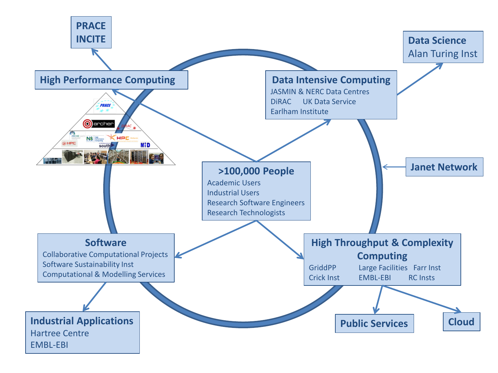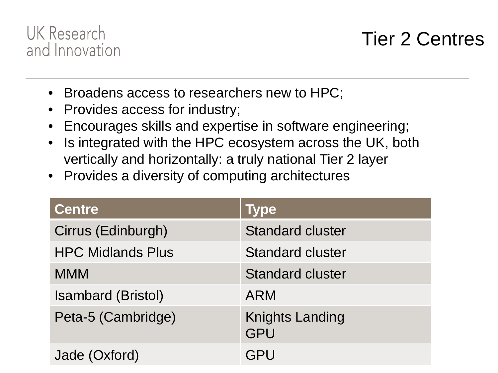

#### Tier 2 Centres

- Broadens access to researchers new to HPC;
- Provides access for industry;
- Encourages skills and expertise in software engineering;
- Is integrated with the HPC ecosystem across the UK, both vertically and horizontally: a truly national Tier 2 layer
- Provides a diversity of computing architectures

| <b>Centre</b>             | <b>Type</b>                          |
|---------------------------|--------------------------------------|
| Cirrus (Edinburgh)        | <b>Standard cluster</b>              |
| <b>HPC Midlands Plus</b>  | <b>Standard cluster</b>              |
| <b>MMM</b>                | <b>Standard cluster</b>              |
| <b>Isambard (Bristol)</b> | <b>ARM</b>                           |
| Peta-5 (Cambridge)        | <b>Knights Landing</b><br><b>GPU</b> |
| Jade (Oxford)             | GPU                                  |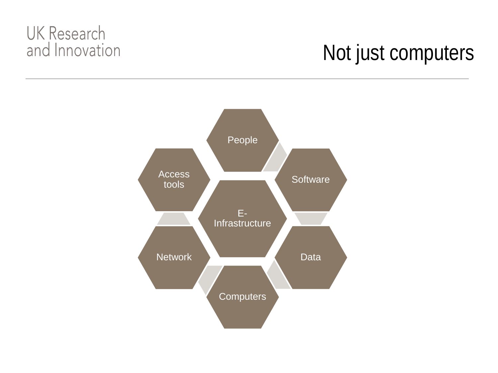## Not just computers

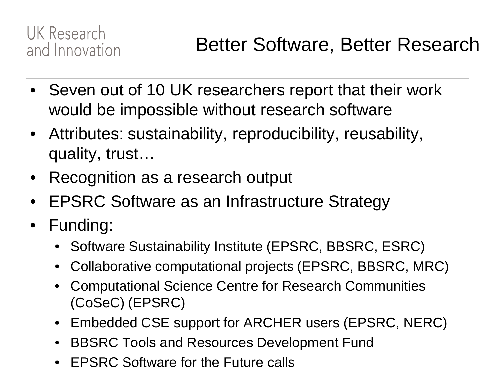- Seven out of 10 UK researchers report that their work would be impossible without research software
- Attributes: sustainability, reproducibility, reusability, quality, trust…
- Recognition as a research output
- EPSRC Software as an Infrastructure Strategy
- Funding:
	- Software Sustainability Institute (EPSRC, BBSRC, ESRC)
	- Collaborative computational projects (EPSRC, BBSRC, MRC)
	- Computational Science Centre for Research Communities (CoSeC) (EPSRC)
	- Embedded CSE support for ARCHER users (EPSRC, NERC)
	- BBSRC Tools and Resources Development Fund
	- EPSRC Software for the Future calls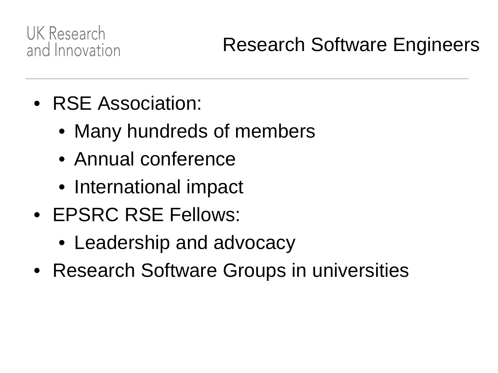- RSE Association:
	- Many hundreds of members
	- Annual conference
	- International impact
- EPSRC RSE Fellows:
	- Leadership and advocacy
- Research Software Groups in universities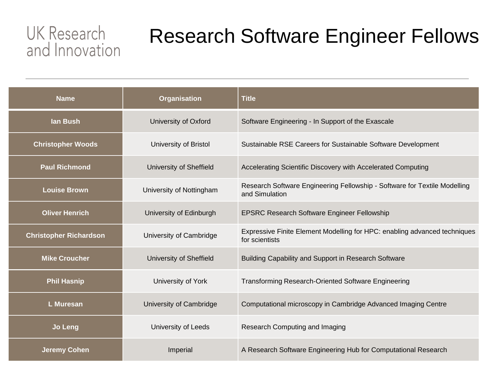## Research Software Engineer Fellows

| <b>Name</b>                   | <b>Organisation</b>      | <b>Title</b>                                                                                |
|-------------------------------|--------------------------|---------------------------------------------------------------------------------------------|
| lan Bush                      | University of Oxford     | Software Engineering - In Support of the Exascale                                           |
| <b>Christopher Woods</b>      | University of Bristol    | Sustainable RSE Careers for Sustainable Software Development                                |
| <b>Paul Richmond</b>          | University of Sheffield  | Accelerating Scientific Discovery with Accelerated Computing                                |
| <b>Louise Brown</b>           | University of Nottingham | Research Software Engineering Fellowship - Software for Textile Modelling<br>and Simulation |
| <b>Oliver Henrich</b>         | University of Edinburgh  | <b>EPSRC Research Software Engineer Fellowship</b>                                          |
| <b>Christopher Richardson</b> | University of Cambridge  | Expressive Finite Element Modelling for HPC: enabling advanced techniques<br>for scientists |
| <b>Mike Croucher</b>          | University of Sheffield  | Building Capability and Support in Research Software                                        |
| <b>Phil Hasnip</b>            | University of York       | <b>Transforming Research-Oriented Software Engineering</b>                                  |
| <b>L</b> Muresan              | University of Cambridge  | Computational microscopy in Cambridge Advanced Imaging Centre                               |
| <b>Jo Leng</b>                | University of Leeds      | Research Computing and Imaging                                                              |
| <b>Jeremy Cohen</b>           | Imperial                 | A Research Software Engineering Hub for Computational Research                              |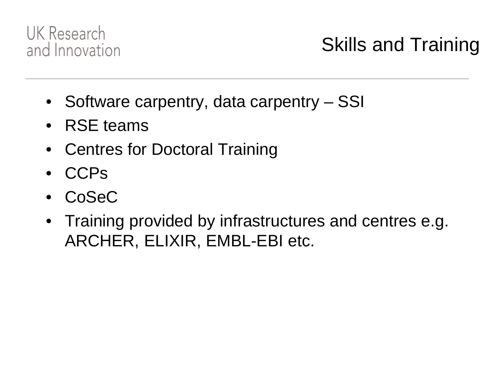

## Skills and Training

- Software carpentry, data carpentry SSI
- RSE teams
- Centres for Doctoral Training
- CCPs
- CoSeC
- Training provided by infrastructures and centres e.g. ARCHER, ELIXIR, EMBL-EBI etc.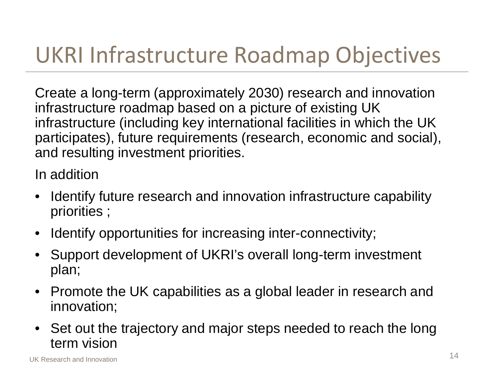## UKRI Infrastructure Roadmap Objectives

Create a long-term (approximately 2030) research and innovation infrastructure roadmap based on a picture of existing UK infrastructure (including key international facilities in which the UK participates), future requirements (research, economic and social), and resulting investment priorities.

In addition

- Identify future research and innovation infrastructure capability priorities ;
- Identify opportunities for increasing inter-connectivity;
- Support development of UKRI's overall long-term investment plan;
- Promote the UK capabilities as a global leader in research and innovation;
- Set out the trajectory and major steps needed to reach the long term vision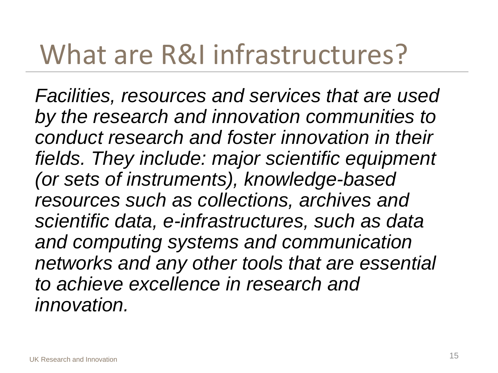## What are R&I infrastructures?

*Facilities, resources and services that are used by the research and innovation communities to conduct research and foster innovation in their fields. They include: major scientific equipment (or sets of instruments), knowledge-based resources such as collections, archives and scientific data, e-infrastructures, such as data and computing systems and communication networks and any other tools that are essential to achieve excellence in research and innovation.*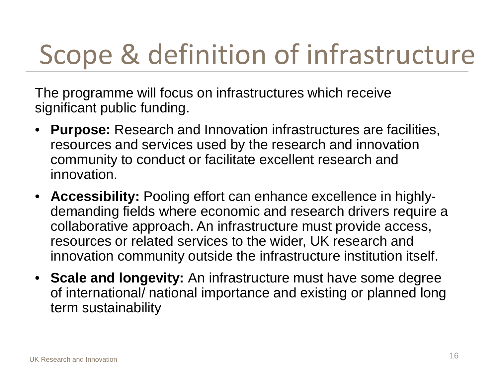# Scope & definition of infrastructure

The programme will focus on infrastructures which receive significant public funding.

- **Purpose:** Research and Innovation infrastructures are facilities, resources and services used by the research and innovation community to conduct or facilitate excellent research and innovation.
- **Accessibility:** Pooling effort can enhance excellence in highlydemanding fields where economic and research drivers require a collaborative approach. An infrastructure must provide access, resources or related services to the wider, UK research and innovation community outside the infrastructure institution itself.
- **Scale and longevity:** An infrastructure must have some degree of international/ national importance and existing or planned long term sustainability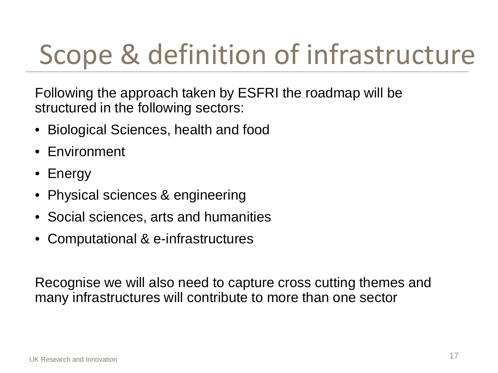# Scope & definition of infrastructure

Following the approach taken by ESFRI the roadmap will be structured in the following sectors:

- Biological Sciences, health and food
- Environment
- Energy
- Physical sciences & engineering
- Social sciences, arts and humanities
- Computational & e-infrastructures

Recognise we will also need to capture cross cutting themes and many infrastructures will contribute to more than one sector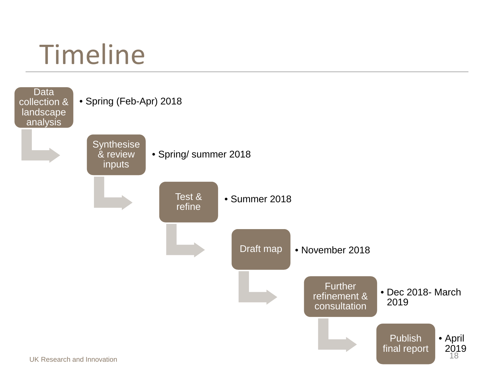

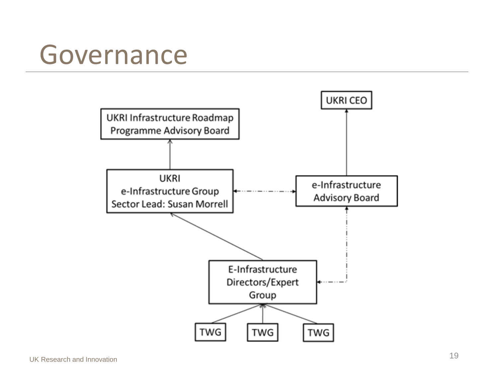## Governance

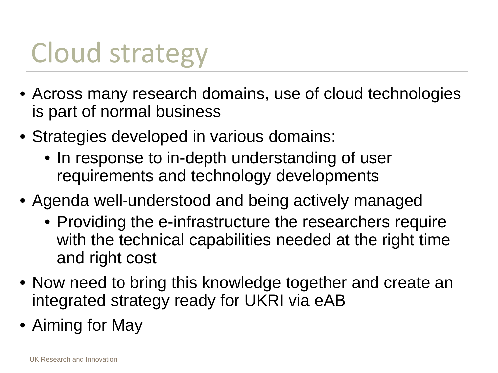# Cloud strategy

- Across many research domains, use of cloud technologies is part of normal business
- Strategies developed in various domains:
	- In response to in-depth understanding of user requirements and technology developments
- Agenda well-understood and being actively managed
	- Providing the e-infrastructure the researchers require with the technical capabilities needed at the right time and right cost
- Now need to bring this knowledge together and create an integrated strategy ready for UKRI via eAB
- Aiming for May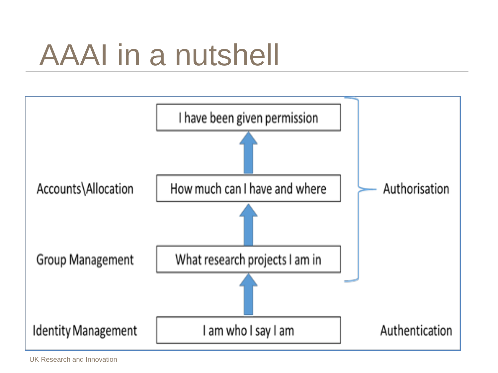# AAAI in a nutshell

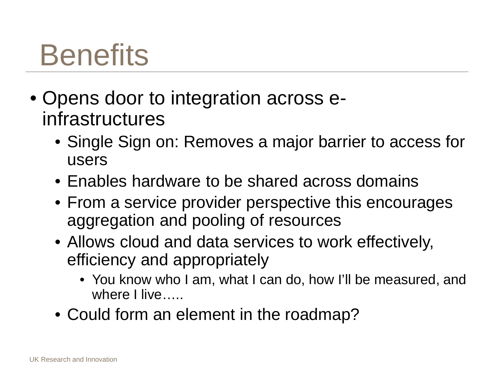# **Benefits**

- Opens door to integration across einfrastructures
	- Single Sign on: Removes a major barrier to access for users
	- Enables hardware to be shared across domains
	- From a service provider perspective this encourages aggregation and pooling of resources
	- Allows cloud and data services to work effectively, efficiency and appropriately
		- You know who I am, what I can do, how I'll be measured, and where I live…..
	- Could form an element in the roadmap?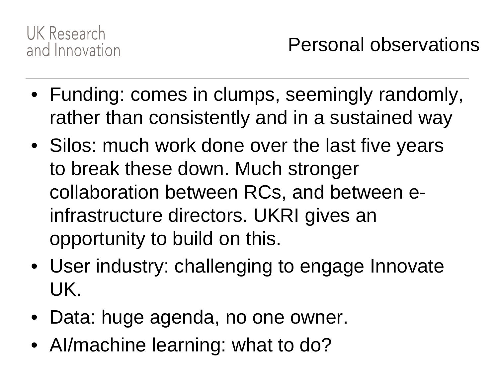

- Funding: comes in clumps, seemingly randomly, rather than consistently and in a sustained way
- Silos: much work done over the last five years to break these down. Much stronger collaboration between RCs, and between einfrastructure directors. UKRI gives an opportunity to build on this.
- User industry: challenging to engage Innovate UK.
- Data: huge agenda, no one owner.
- Al/machine learning: what to do?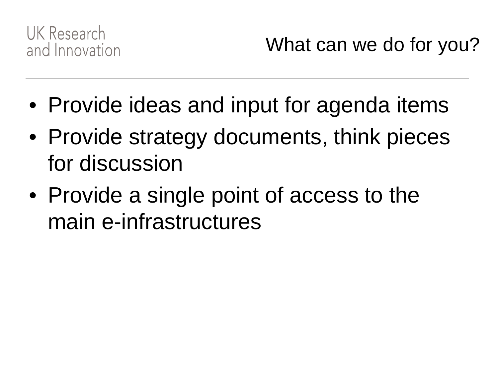

What can we do for you?

- Provide ideas and input for agenda items
- Provide strategy documents, think pieces for discussion
- Provide a single point of access to the main e-infrastructures